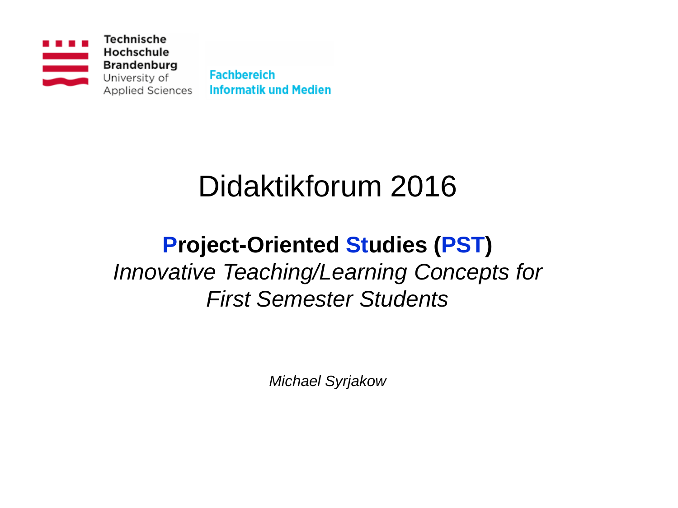

# Didaktikforum 2016

## **Project-Oriented Studies (PST)** *Innovative Teaching/Learning Concepts for First Semester Students*

*Michael Syrjakow*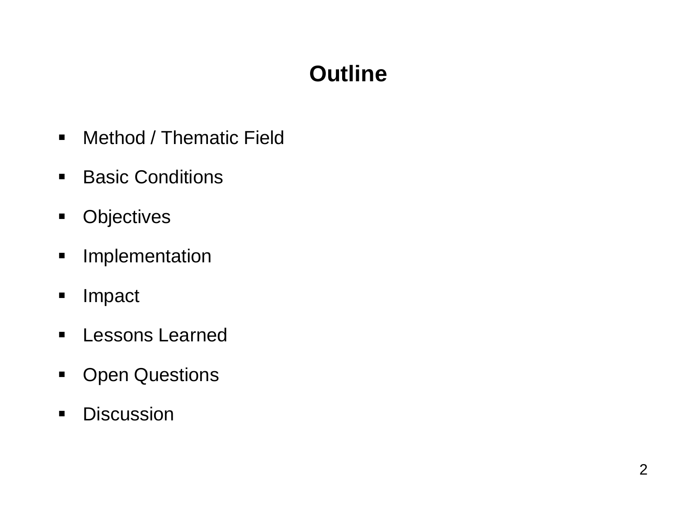## **Outline**

- **Nethod / Thematic Field**
- **Basic Conditions**
- **•** Objectives
- **Implementation**
- **Impact**
- **E** Lessons Learned
- **-** Open Questions
- **-** Discussion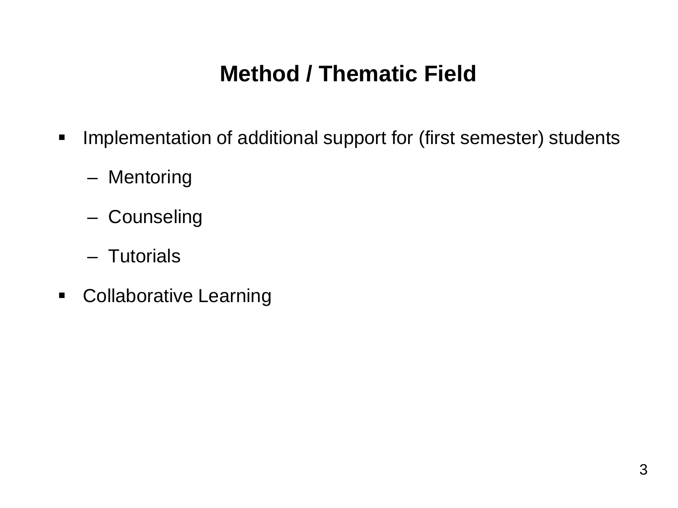## **Method / Thematic Field**

- **Implementation of additional support for (first semester) students** 
	- Mentoring
	- Counseling
	- Tutorials
- **-** Collaborative Learning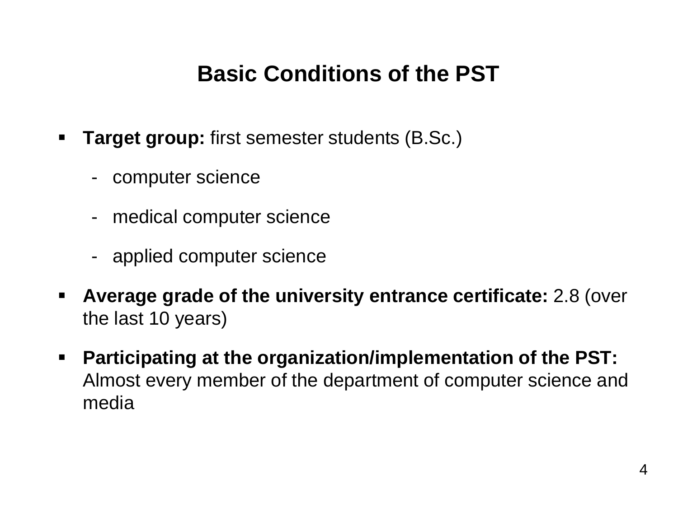## **Basic Conditions of the PST**

- **Target group:** first semester students (B.Sc.)
	- computer science
	- medical computer science
	- applied computer science
- **Average grade of the university entrance certificate:** 2.8 (over the last 10 years)
- **Participating at the organization/implementation of the PST:** Almost every member of the department of computer science and media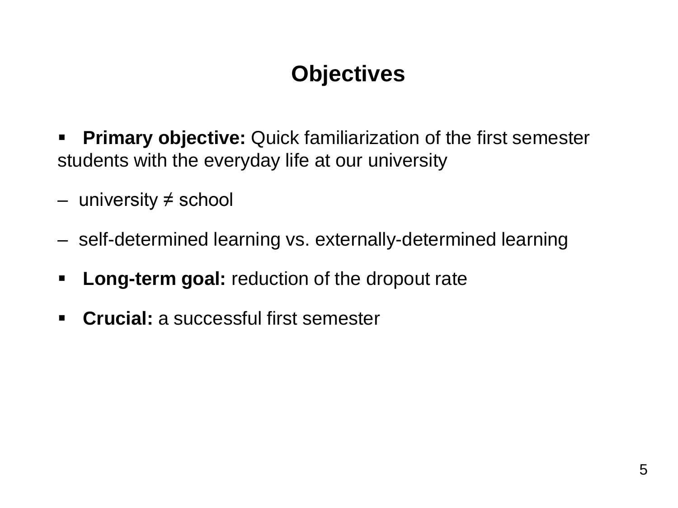## **Objectives**

- **Primary objective:** Quick familiarization of the first semester students with the everyday life at our university
- university ≠ school
- self-determined learning vs. externally-determined learning
- **Long-term goal:** reduction of the dropout rate
- **Crucial:** a successful first semester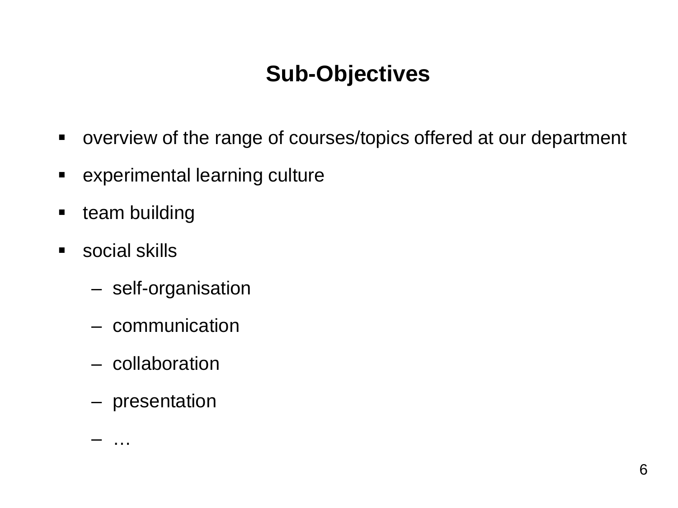## **Sub-Objectives**

- overview of the range of courses/topics offered at our department
- experimental learning culture
- **team building**
- **social skills** 
	- self-organisation
	- communication
	- collaboration
	- presentation

– …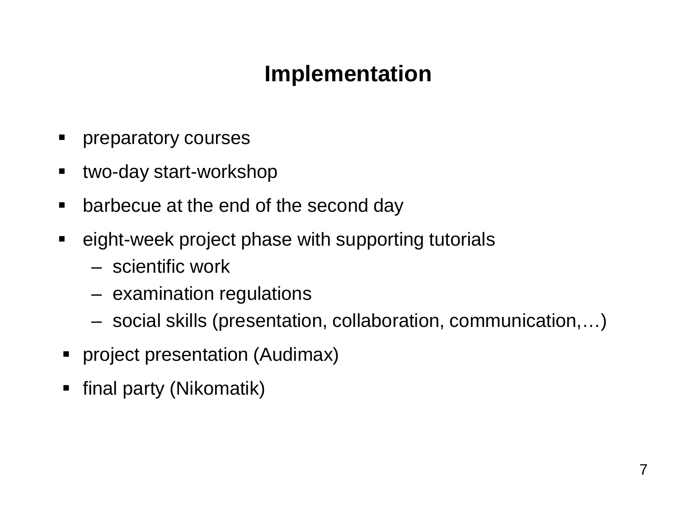## **Implementation**

- **Performatory courses**
- two-day start-workshop
- **E** barbecue at the end of the second day
- eight-week project phase with supporting tutorials
	- scientific work
	- examination regulations
	- social skills (presentation, collaboration, communication,…)
- **•** project presentation (Audimax)
- final party (Nikomatik)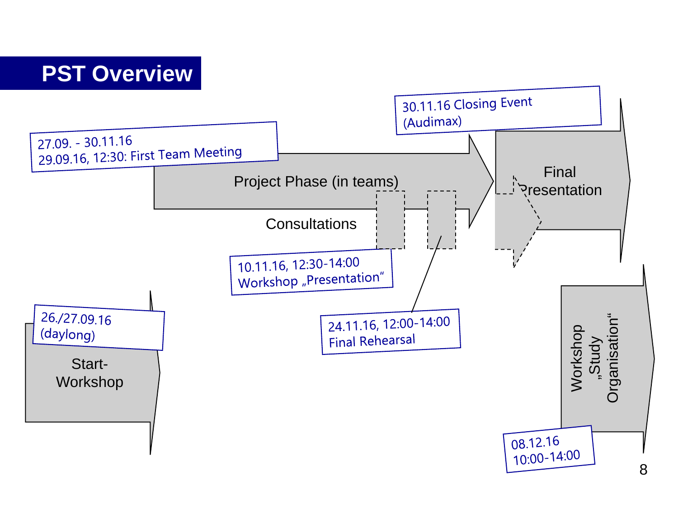#### **PST Overview**

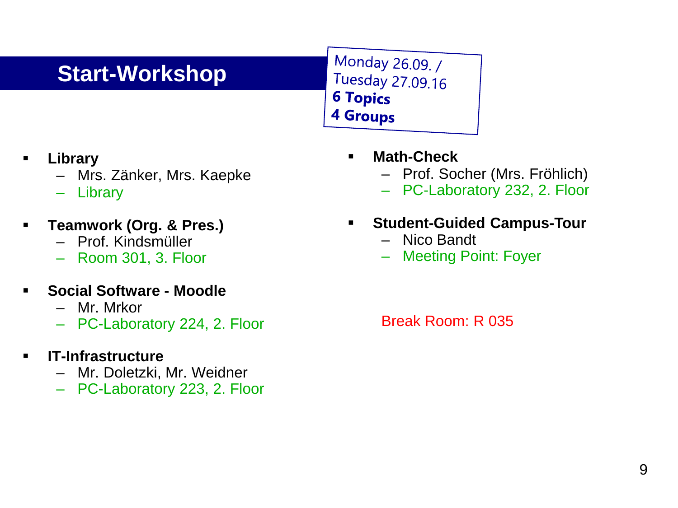### **Start-Workshop**

Monday 26.09. / Tuesday 27.09.16 **6 Topics 4 Groups** 

- **Library** 
	- Mrs. Zänker, Mrs. Kaepke
	- Library
- **Teamwork (Org. & Pres.)**
	- Prof. Kindsmüller
	- Room 301, 3. Floor
- **Social Software - Moodle**
	- Mr. Mrkor
	- PC-Laboratory 224, 2. Floor
- **IT-Infrastructure**
	- Mr. Doletzki, Mr. Weidner
	- PC-Laboratory 223, 2. Floor
- **Math-Check**
	- Prof. Socher (Mrs. Fröhlich)
	- PC-Laboratory 232, 2. Floor
- **Student-Guided Campus-Tour**
	- Nico Bandt
	- Meeting Point: Foyer

Break Room: R 035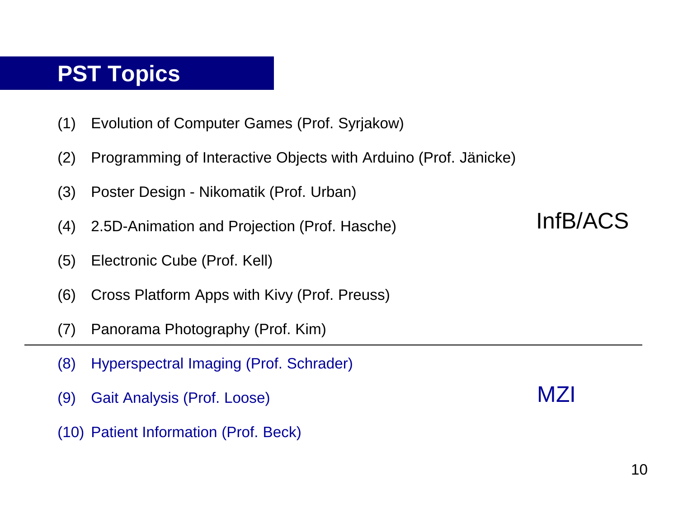#### **PST Topics**

- (1) Evolution of Computer Games (Prof. Syrjakow)
- (2) Programming of Interactive Objects with Arduino (Prof. Jänicke)
- (3) Poster Design Nikomatik (Prof. Urban)
- (4) 2.5D-Animation and Projection (Prof. Hasche)
- (5) Electronic Cube (Prof. Kell)
- (6) Cross Platform Apps with Kivy (Prof. Preuss)
- (7) Panorama Photography (Prof. Kim)
- (8) Hyperspectral Imaging (Prof. Schrader)
- (9) Gait Analysis (Prof. Loose)
- (10) Patient Information (Prof. Beck)

### InfB/ACS

MZI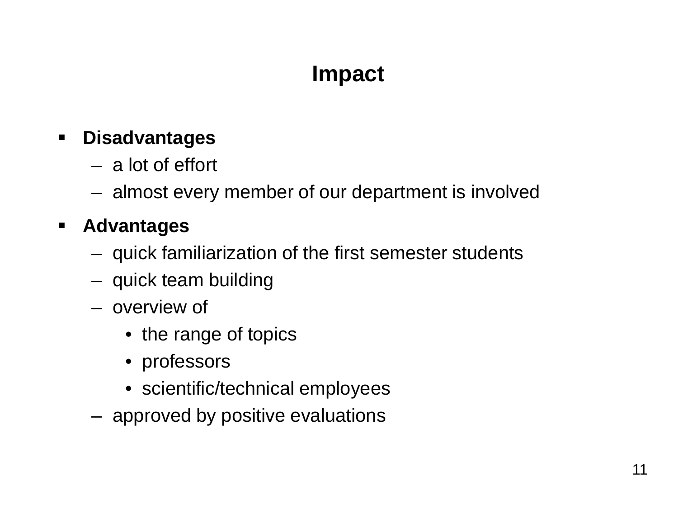## **Impact**

#### **Disadvantages**

- a lot of effort
- almost every member of our department is involved

#### **Advantages**

- quick familiarization of the first semester students
- quick team building
- overview of
	- the range of topics
	- professors
	- scientific/technical employees
- approved by positive evaluations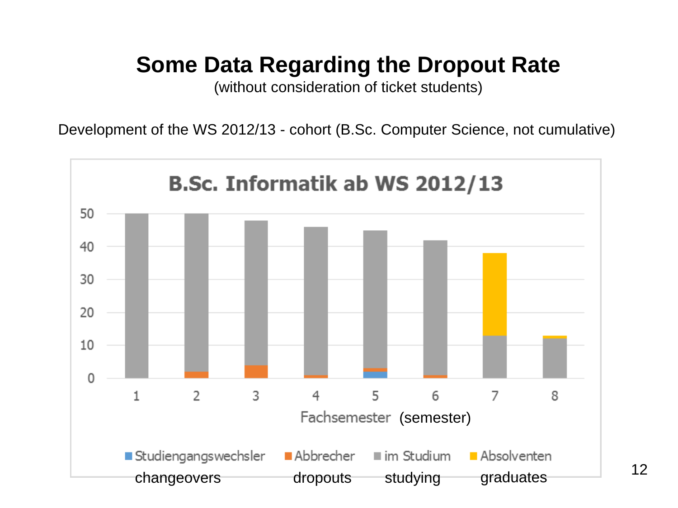## **Some Data Regarding the Dropout Rate**

(without consideration of ticket students)

Development of the WS 2012/13 - cohort (B.Sc. Computer Science, not cumulative)

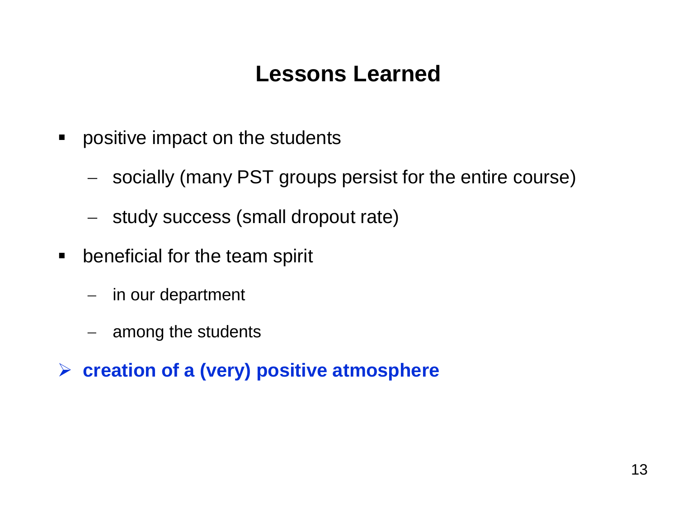### **Lessons Learned**

- **•** positive impact on the students
	- − socially (many PST groups persist for the entire course)
	- − study success (small dropout rate)
- **EX beneficial for the team spirit** 
	- − in our department
	- among the students
- **creation of a (very) positive atmosphere**